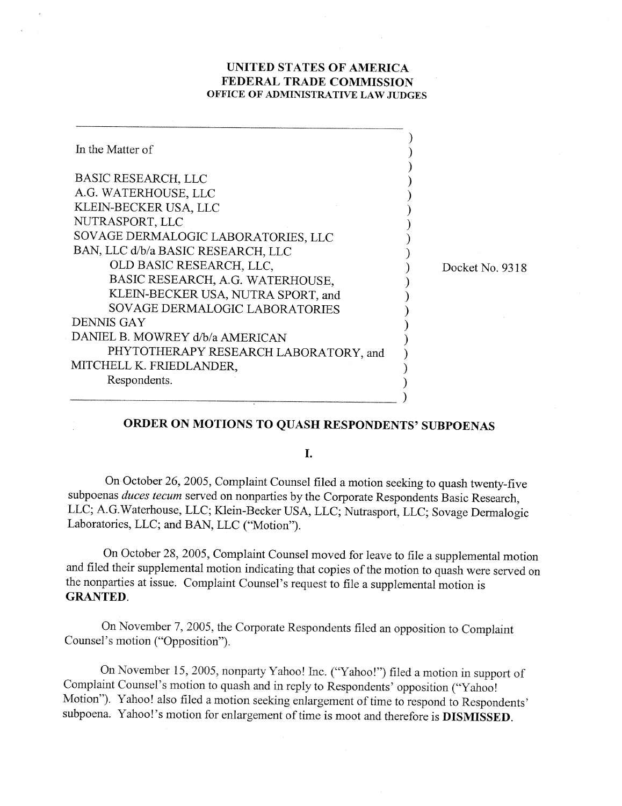## **UNITED STATES OF AMERICA FEDERAL TRADE COMMISSION OFFICE OF ADMINISTRATIVE LAW JUDGES**

| In the Matter of                                                       |    |
|------------------------------------------------------------------------|----|
| <b>BASIC RESEARCH, LLC</b><br>A.G. WATERHOUSE, LLC                     |    |
| KLEIN-BECKER USA, LLC                                                  |    |
| NUTRASPORT, LLC<br>SOVAGE DERMALOGIC LABORATORIES, LLC                 |    |
| BAN, LLC d/b/a BASIC RESEARCH, LLC<br>OLD BASIC RESEARCH, LLC,         | D. |
| BASIC RESEARCH, A.G. WATERHOUSE,<br>KLEIN-BECKER USA, NUTRA SPORT, and |    |
| SOVAGE DERMALOGIC LABORATORIES<br>DENNIS GAY                           |    |
| DANIEL B. MOWREY d/b/a AMERICAN                                        |    |
| PHYTOTHERAPY RESEARCH LABORATORY, and<br>MITCHELL K. FRIEDLANDER,      |    |
| Respondents.                                                           |    |

ocket No. 9318

## **ORDER ON MOTIONS TO QUASH RESPONDENTS' SUBPOENAS**

 $\mathbf{I}$ .

On October 26,2005, Complaint Counsel filed a motion seeking to quash twenty-five subpoenas *duces tecum* served on nonparties by the Corporate Respondents Basic Research, LLC; A.G.Waterhouse, LLC; Kllein-Becker USA, LLC; Nutrasport, LLC; Sovage Dermalogic Laboratories, LLC; and BAN, LLC ('Motion").

On October 28, 2005, Complaint Counsel moved for leave to file a supplemental motion and filed their supplemental motion indicating that copies of the motion to quash were served on the nonparties at issue. Complaint Counsel's request to file a supplemental motion is **GRANTED.** 

On November 7,2005, the Corporate Respondents filed an opposition to Complaint Counsel's motion ("Opposition").

On November 15, 2005, nonparty Yahoo! Inc. ("Yahoo!") filed a motion in support of Complaint Counsel's motion to quash and in reply to Respondents' opposition ("'Yahoo! Motion"). Yahoo! also filed a motion seeking enlargement of time to respond to Respondents' subpoena. Yahoo!'s motion for enlargement of time is moot and therefore is **DISMISSED**.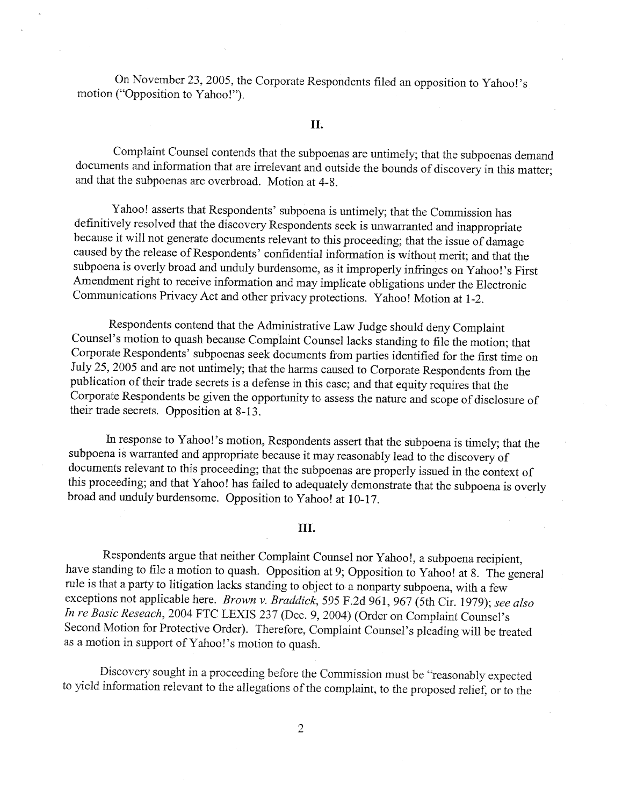On November 23, 2005, the Corporate Respondents filed an opposition to Yahoo!'s motion ("Opposition to Yahoo!").

## **II.**

Complaint Counsel contends that the subpoenas are untimely; that the subpoenas demand documents and information that are irrelevant and outside the bounds of discovery in this matter; and that the subpoenas are overbroad. Motion at 4-8.

Yahoo! asserts that Respondents' subpoena is untimely; that the Commission has definitively resolved that the discovery Respondents seek is unwarranted and inappropriate because it will not generate documents relevant to this proceeding; that the issue of damage caused by the release of Respondents' confidential information is without merit; and that the subpoena is overly broad and unduly burdensome, as it improperly infringes on Yahoo!'s First Amendment right to receive information and may implicate obligations under the Electronic Communications Privacy Act and other privacy protections. Yahoo! Motion at 1-2.

Respondents contend that the Administrative Law Judge should deny Complaint Counsel's motion to quash because Complaint Counsel lacks standing to file the motion; that Corporate Respondents' subpoenas seek documents from parties identified for the first time on July 25,2005 and are not untimely; that the harms caused to Corporate Respondents from the publication of their trade secrets is a defense in this case; and that equity requires that the Corporate Respondents be given the opportunity to assess the nature and scope of disclosure of their trade secrets. Opposition at 8-13.

In response to Yahoo!'s motion, Respondents assert that the subpoena is timely; that the subpoena is warranted and appropriate because it may reasonably lead to the discovery of documents relevant to this proceeding; that the subpoenas are properly issued in the context of this proceeding; and that Yahoo! has failed to adequately demonstrate that the subpoena is overly broad and unduly burdensome. Opposition to Yahoo! at 10-17.

## TH.

Respondents argue that neither Complaint Counsel nor Yahoo!, a subpoena recipient, have standing to file a motion to quash. Opposition at 9; Opposition to Yahoo! at 8. The general rule is that a party to litigation lacks standing to object to a nonparty subpoena, with a few exceptions not applicable here. Brown v. Braddick, 595 F.2d 961, 967 (5th Cir. 1979); see also In re Basic Reseach, 2004 FTC LEXIS 237 (Dec. 9,2004) (Order on Complaint Counsel's Second Motion for Protective Order). Therefore, Complaint Counsel's pleading will be treated as a motion in support of Yahoo!'s motion to quash.

Discovery sought in a proceeding before the Commission must be "reasonably expected to yield information relevant to the allegations of the complaint, to the proposed relief, or to the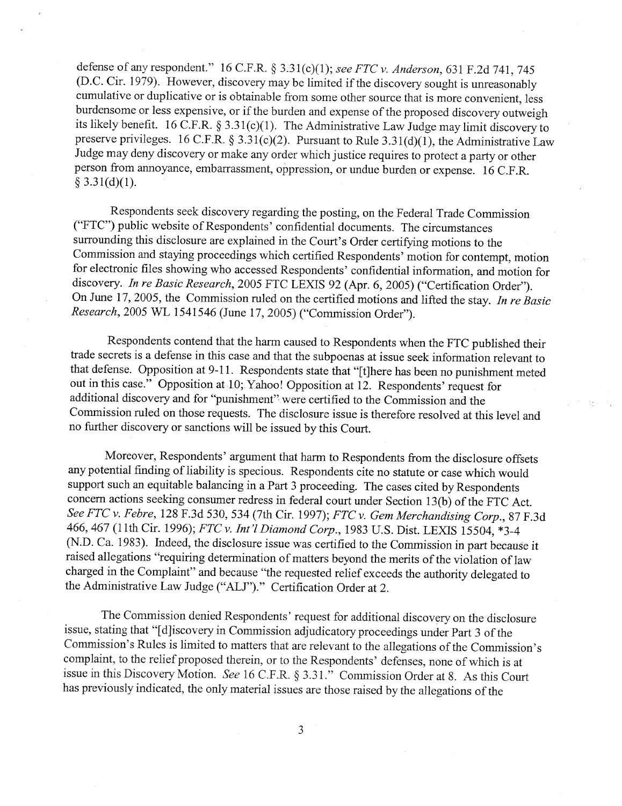defense of any respondent." 16 C.F.R. § 3.31(c)(1); see FTC v. Anderson, 631 F.2d 741, 745 (D.C. Cir. 1979). However, discovery may be limited if the discovery sought is unreasonably cumulative or duplicative or is obtainable from some other source that is more convenient, less burdensome or less expensive, or if the burden and expense of the proposed discovery outweigh its likely benefit. 16 C.F.R. § 3.31(c)(1). The Administrative Law Judge may limit discovery to preserve privileges. 16 C.F.R.  $\S 3.31(c)(2)$ . Pursuant to Rule 3.31(d)(1), the Administrative Law Judge may deny discovery or make any order which justice requires to protect a party or other person from annoyance, embarrassment, oppression, or undue burden or expense. 16 C.F.R.  $§ 3.31(d)(1).$ 

Respondents seek discovery regarding the posting, on the Federal Trade Cornmission ("FTC") public website of Respondents' confidential documents. The circumstances surrounding this disclosure are explained in the Court's Order certifying motions to the Commission and staying proceedings which certified Respondents' motion for contempt, motion for electronic files showing who accessed Respondents' confidential information, and motion for discovery. *In re Basic Research*, 2005 FTC LEXIS 92 (Apr. 6, 2005) ("Certification Order"). On June 17,2005, the Commission ruled on the certified motions and lifted the stay. *In* re Basic Research, 2005 WL 1541546 (June 17, 2005) ("Commission Order").

Respondents contend that the harm caused to Respondents when the FTC published their trade secrets is a defense in this ease and that the subpoenas at issue seek information relevant to that defense. Opposition at 9-1 1. Respondents state that "[tlhere has been no punishment meted out in this case." Opposition at 10; Yahoo! Opposition at 12. Respondents' request for additional discovery and for "punishment" were certified to the Commission and the Commission ruled on those requests. The disclosure issue is therefore resolved at this level and no further discovery or sanctions will be issued by this Court.

 $\gamma=\gamma_{\rm K}$ 

Moreover, Respondents' argument that harm to Respondents from the disclosure offsets any potential finding of liability is specious. Respondents cite no statute or case which would support such an equitable balancing in a Part 3 proceeding. The eases cited by Respondents concern actions seeking consumer redress in federal court under Section 13(b) of the FTC Act. See FTC v. Febre, 128 F.3d 530, 534 (7th Cir. 1997); FTC v. Gem Merchandising Corp., 87 F.3d 466, 467 (11th Cir. 1996); FTC v. Int'l Diamond Corp., 1983 U.S. Dist. LEXIS 15504, \*3-4 (N.D. Ca. 1983). Indeed, the disclosure issue was certified to the Commission in part because it raised allegations "requiring determination of matters beyond the merits of the violation of law charged in the Complaint" and because "the requested relief exceeds the authority delegated to the Administrative Law Judge ("ALJ")." Certification Order at 2.

The Commission denied Respondents' request for additional discovery on the disclosure issue, stating that "[dliscovery in Commission adjudicatory proceedings under Part 3 of the Commission's Rules is limited to matters that are relevant to the allegations of the Commission's complaint, to the relief proposed therein, or to the Respondents' defenses, none of which is at issue in this Discovery Motion. *See* 16 C.F.R. 9 3.3 1 ." Commission Order at 8. As this Court has previously indicated, the only material issues are those raised by the allegations of the

3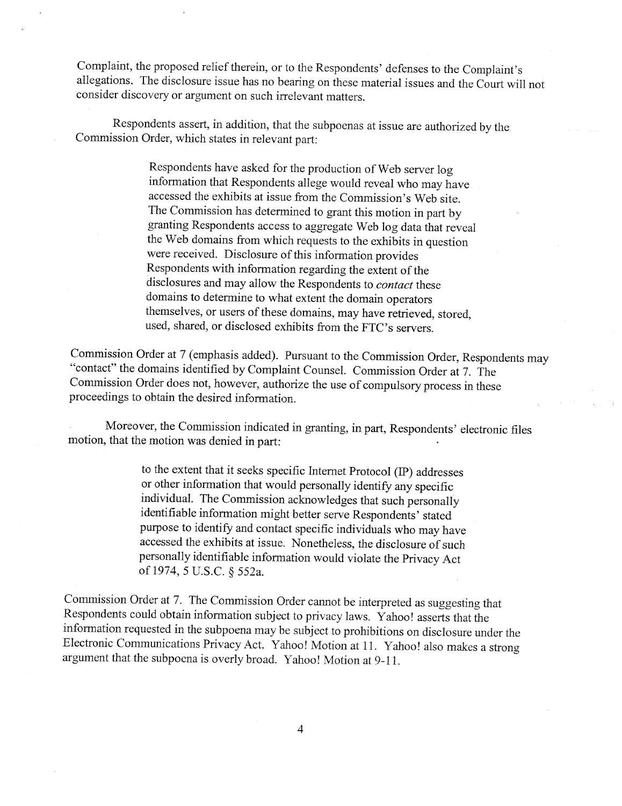Complaint, the proposed relief therein, or to the Respondents' defenses to the Complaint's allegations. The disclosure issue has no bearing on these material issues and the Court will not consider discovery or argument on such irrelevant matters.

Respondents assert, in addition, that the subpoenas at issue are authorized by the Commission Order, which states in relevant part:

> Respondents have asked for the production of Web server log information that Respondents allege would reveal who may have accessed the exhibits at issue from the Commission's Web site. The Commission has determined to grant this motion in part by granting Respondents access to aggregate Web log data that reveal the Web domains from which requests to the exhibits in question were received. Disclosure of this information provides Respondents with information regarding the extent of the disclosures and may allow the Respondents to *contact* these domains to determine to what extent the domain operators themselves, or users of these domains, may have retrieved, stored, used, shared, or disclosed exhibits from the FTC's servers.

Commission Order at 7 (emphasis added). Pursuant to the Commission Order, Respondents may "contact" the domains identified by Complaint Counsel. Commission Order at 7. The Commission Order does not, however, authorize the use of compulsory process in these proceedings to obtain the desired information.

Moreover, the Commission indicated in granting, in part, Respondents' electronic files motion, that the motion was denied in part:

> to the extent that it seeks specific Internet Protocol (IP) addresses or other infonnation that would personally identify any specific individual. The Commission acknowledges that such personally identifiable information might better serve Respondents' stated purpose to identify and contact specific individuals who may have accessed the exhibits at issue. Nonetheless, the disclosure of such personally identifiable information would violate the Privacy Act of 1974,5 U.S.C. *5* 552a.

Commission Order at 7. The Commission Order cannot be interpreted as suggesting that Respondents could obtain information subject to privacy laws. Yahoo! asserts that the information requested in the subpoena may be subject to prohibitions on disclosure under the Electronic Cornmications Privacy Act. Yahoo! Motion at 11. Yahoo! also makes a strong argument that the subpoena is overly broad. Yahoo! Motion at 9-11.

 $\overline{4}$